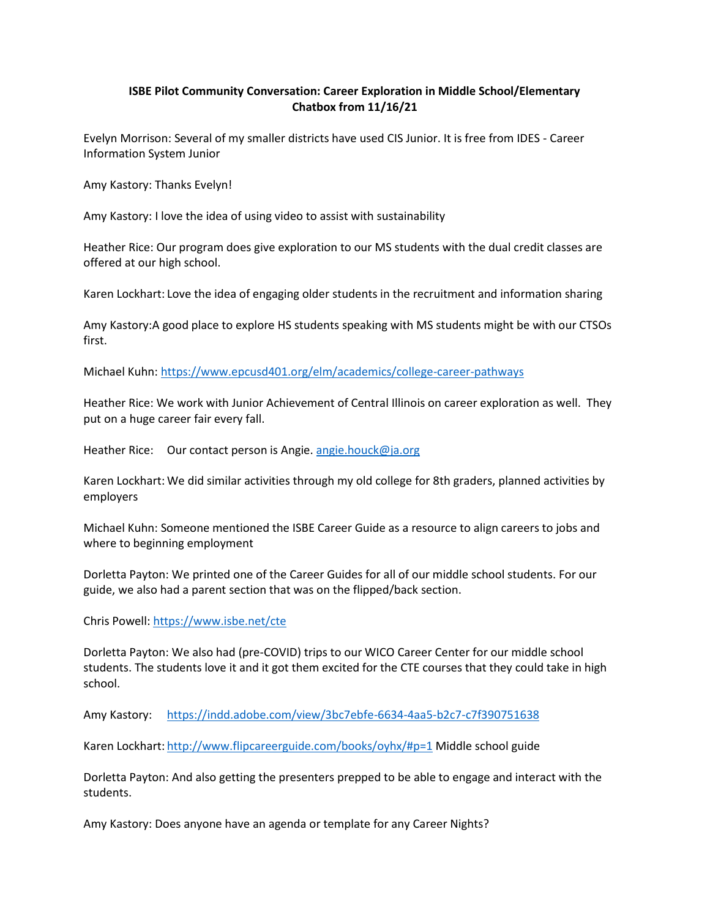## **ISBE Pilot Community Conversation: Career Exploration in Middle School/Elementary Chatbox from 11/16/21**

Evelyn Morrison: Several of my smaller districts have used CIS Junior. It is free from IDES - Career Information System Junior

Amy Kastory: Thanks Evelyn!

Amy Kastory: I love the idea of using video to assist with sustainability

Heather Rice: Our program does give exploration to our MS students with the dual credit classes are offered at our high school.

Karen Lockhart: Love the idea of engaging older students in the recruitment and information sharing

Amy Kastory:A good place to explore HS students speaking with MS students might be with our CTSOs first.

Michael Kuhn[: https://www.epcusd401.org/elm/academics/college-career-pathways](https://www.epcusd401.org/elm/academics/college-career-pathways)

Heather Rice: We work with Junior Achievement of Central Illinois on career exploration as well. They put on a huge career fair every fall.

Heather Rice: Our contact person is Angie[. angie.houck@ja.org](mailto:angie.houck@ja.org)

Karen Lockhart: We did similar activities through my old college for 8th graders, planned activities by employers

Michael Kuhn: Someone mentioned the ISBE Career Guide as a resource to align careers to jobs and where to beginning employment

Dorletta Payton: We printed one of the Career Guides for all of our middle school students. For our guide, we also had a parent section that was on the flipped/back section.

Chris Powell:<https://www.isbe.net/cte>

Dorletta Payton: We also had (pre-COVID) trips to our WICO Career Center for our middle school students. The students love it and it got them excited for the CTE courses that they could take in high school.

Amy Kastory: <https://indd.adobe.com/view/3bc7ebfe-6634-4aa5-b2c7-c7f390751638>

Karen Lockhart: <http://www.flipcareerguide.com/books/oyhx/#p=1> Middle school guide

Dorletta Payton: And also getting the presenters prepped to be able to engage and interact with the students.

Amy Kastory: Does anyone have an agenda or template for any Career Nights?